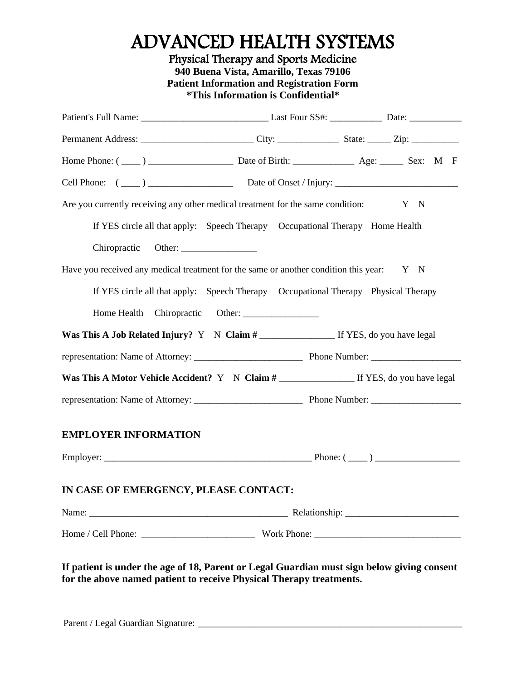# ADVANCED HEALTH SYSTEMS

Physical Therapy and Sports Medicine **940 Buena Vista, Amarillo, Texas 79106 Patient Information and Registration Form \*This Information is Confidential\***

| Permanent Address: ____________________________City: ___________________________Zip: _______________                                                              |  |  |                  |
|-------------------------------------------------------------------------------------------------------------------------------------------------------------------|--|--|------------------|
|                                                                                                                                                                   |  |  |                  |
|                                                                                                                                                                   |  |  |                  |
| Are you currently receiving any other medical treatment for the same condition:                                                                                   |  |  | Y<br>$\mathbf N$ |
| If YES circle all that apply: Speech Therapy Occupational Therapy Home Health                                                                                     |  |  |                  |
| Chiropractic Other:                                                                                                                                               |  |  |                  |
| Have you received any medical treatment for the same or another condition this year: Y N                                                                          |  |  |                  |
| If YES circle all that apply: Speech Therapy Occupational Therapy Physical Therapy                                                                                |  |  |                  |
|                                                                                                                                                                   |  |  |                  |
|                                                                                                                                                                   |  |  |                  |
|                                                                                                                                                                   |  |  |                  |
|                                                                                                                                                                   |  |  |                  |
|                                                                                                                                                                   |  |  |                  |
| <b>EMPLOYER INFORMATION</b>                                                                                                                                       |  |  |                  |
|                                                                                                                                                                   |  |  |                  |
| IN CASE OF EMERGENCY, PLEASE CONTACT:                                                                                                                             |  |  |                  |
|                                                                                                                                                                   |  |  |                  |
|                                                                                                                                                                   |  |  |                  |
| If patient is under the age of 18, Parent or Legal Guardian must sign below giving consent<br>for the above named patient to receive Physical Therapy treatments. |  |  |                  |

Parent / Legal Guardian Signature: \_\_\_\_\_\_\_\_\_\_\_\_\_\_\_\_\_\_\_\_\_\_\_\_\_\_\_\_\_\_\_\_\_\_\_\_\_\_\_\_\_\_\_\_\_\_\_\_\_\_\_\_\_\_\_\_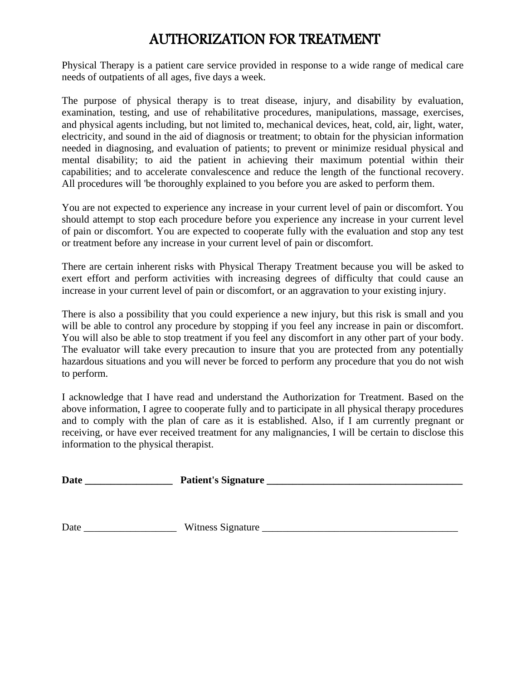## AUTHORIZATION FOR TREATMENT

Physical Therapy is a patient care service provided in response to a wide range of medical care needs of outpatients of all ages, five days a week.

The purpose of physical therapy is to treat disease, injury, and disability by evaluation, examination, testing, and use of rehabilitative procedures, manipulations, massage, exercises, and physical agents including, but not limited to, mechanical devices, heat, cold, air, light, water, electricity, and sound in the aid of diagnosis or treatment; to obtain for the physician information needed in diagnosing, and evaluation of patients; to prevent or minimize residual physical and mental disability; to aid the patient in achieving their maximum potential within their capabilities; and to accelerate convalescence and reduce the length of the functional recovery. All procedures will 'be thoroughly explained to you before you are asked to perform them.

You are not expected to experience any increase in your current level of pain or discomfort. You should attempt to stop each procedure before you experience any increase in your current level of pain or discomfort. You are expected to cooperate fully with the evaluation and stop any test or treatment before any increase in your current level of pain or discomfort.

There are certain inherent risks with Physical Therapy Treatment because you will be asked to exert effort and perform activities with increasing degrees of difficulty that could cause an increase in your current level of pain or discomfort, or an aggravation to your existing injury.

There is also a possibility that you could experience a new injury, but this risk is small and you will be able to control any procedure by stopping if you feel any increase in pain or discomfort. You will also be able to stop treatment if you feel any discomfort in any other part of your body. The evaluator will take every precaution to insure that you are protected from any potentially hazardous situations and you will never be forced to perform any procedure that you do not wish to perform.

I acknowledge that I have read and understand the Authorization for Treatment. Based on the above information, I agree to cooperate fully and to participate in all physical therapy procedures and to comply with the plan of care as it is established. Also, if I am currently pregnant or receiving, or have ever received treatment for any malignancies, I will be certain to disclose this information to the physical therapist.

**Date \_\_\_\_\_\_\_\_\_\_\_\_\_\_\_\_\_ Patient's Signature \_\_\_\_\_\_\_\_\_\_\_\_\_\_\_\_\_\_\_\_\_\_\_\_\_\_\_\_\_\_\_\_\_\_\_\_\_\_**

| Date | Witness Signature |  |
|------|-------------------|--|
|      |                   |  |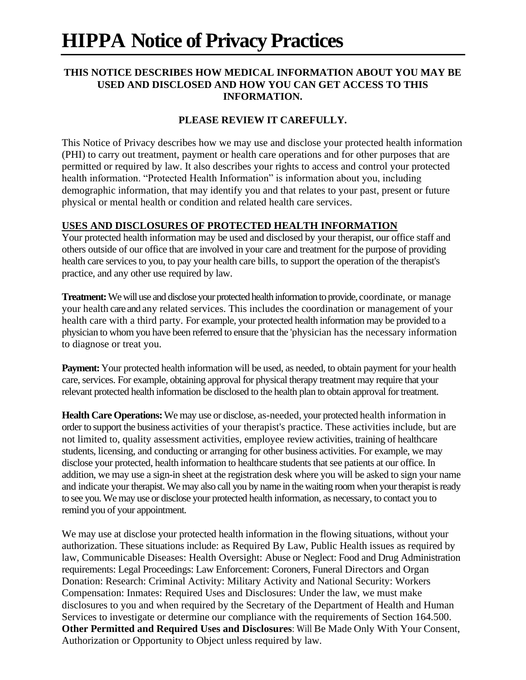#### **THIS NOTICE DESCRIBES HOW MEDICAL INFORMATION ABOUT YOU MAY BE USED AND DISCLOSED AND HOW YOU CAN GET ACCESS TO THIS INFORMATION.**

#### **PLEASE REVIEW IT CAREFULLY.**

This Notice of Privacy describes how we may use and disclose your protected health information (PHI) to carry out treatment, payment or health care operations and for other purposes that are permitted or required by law. It also describes your rights to access and control your protected health information. "Protected Health Information" is information about you, including demographic information, that may identify you and that relates to your past, present or future physical or mental health or condition and related health care services.

#### **USES AND DISCLOSURES OF PROTECTED HEALTH INFORMATION**

Your protected health information may be used and disclosed by your therapist, our office staff and others outside of our office that are involved in your care and treatment for the purpose of providing health care services to you, to pay your health care bills, to support the operation of the therapist's practice, and any other use required by law.

**Treatment:**We will use and disclose your protected health information to provide, coordinate, or manage your health care and any related services. This includes the coordination or management of your health care with a third party. For example, your protected health information may be provided to a physician to whom you have been referred to ensure that the 'physician has the necessary information to diagnose or treat you.

**Payment:**Your protected health information will be used, as needed, to obtain payment for your health care, services. For example, obtaining approval for physical therapy treatment may require that your relevant protected health information be disclosed to the health plan to obtain approval for treatment.

**Health Care Operations:**We may use or disclose, as-needed, your protected health information in order to support the business activities of your therapist's practice. These activities include, but are not limited to, quality assessment activities, employee review activities, training of healthcare students, licensing, and conducting or arranging for other business activities. For example, we may disclose your protected, health information to healthcare students that see patients at our office. In addition, we may use a sign-in sheet at the registration desk where you will be asked to sign your name and indicate your therapist. We may also call you by name in the waiting room when your therapist is ready to see you. We may use or disclose your protected health information, as necessary, to contact you to remind you of your appointment.

We may use at disclose your protected health information in the flowing situations, without your authorization. These situations include: as Required By Law, Public Health issues as required by law, Communicable Diseases: Health Oversight: Abuse or Neglect: Food and Drug Administration requirements: Legal Proceedings: Law Enforcement: Coroners, Funeral Directors and Organ Donation: Research: Criminal Activity: Military Activity and National Security: Workers Compensation: Inmates: Required Uses and Disclosures: Under the law, we must make disclosures to you and when required by the Secretary of the Department of Health and Human Services to investigate or determine our compliance with the requirements of Section 164.500. **Other Permitted and Required Uses and Disclosures**: Will Be Made Only With Your Consent, Authorization or Opportunity to Object unless required by law.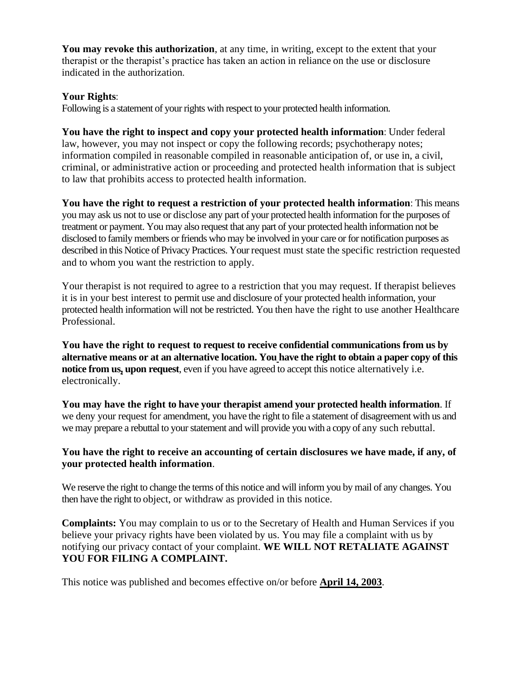**You may revoke this authorization**, at any time, in writing, except to the extent that your therapist or the therapist's practice has taken an action in reliance on the use or disclosure indicated in the authorization.

#### **Your Rights**:

Following is a statement of your rights with respect to your protected health information.

**You have the right to inspect and copy your protected health information**: Under federal law, however, you may not inspect or copy the following records; psychotherapy notes; information compiled in reasonable compiled in reasonable anticipation of, or use in, a civil, criminal, or administrative action or proceeding and protected health information that is subject to law that prohibits access to protected health information.

**You have the right to request a restriction of your protected health information**: This means you may ask us not to use or disclose any part of your protected health information for the purposes of treatment or payment. You may also request that any part of your protected health information not be disclosed to family members or friends who may be involved in your care or for notification purposes as described in this Notice of Privacy Practices. Your request must state the specific restriction requested and to whom you want the restriction to apply.

Your therapist is not required to agree to a restriction that you may request. If therapist believes it is in your best interest to permit use and disclosure of your protected health information, your protected health information will not be restricted. You then have the right to use another Healthcare Professional.

**You have the right to request to request to receive confidential communications from us by alternative means or at an alternative location. You have the right to obtain a paper copy of this notice from us, upon request**, even if you have agreed to accept this notice alternatively i.e. electronically.

**You may have the right to have your therapist amend your protected health information**. If we deny your request for amendment, you have the right to file a statement of disagreement with us and we may prepare a rebuttal to your statement and will provide you with a copy of any such rebuttal.

#### **You have the right to receive an accounting of certain disclosures we have made, if any, of your protected health information**.

We reserve the right to change the terms of this notice and will inform you by mail of any changes. You then have the right to object, or withdraw as provided in this notice.

**Complaints:** You may complain to us or to the Secretary of Health and Human Services if you believe your privacy rights have been violated by us. You may file a complaint with us by notifying our privacy contact of your complaint. **WE WILL NOT RETALIATE AGAINST YOU FOR FILING A COMPLAINT.**

This notice was published and becomes effective on/or before **April 14, 2003**.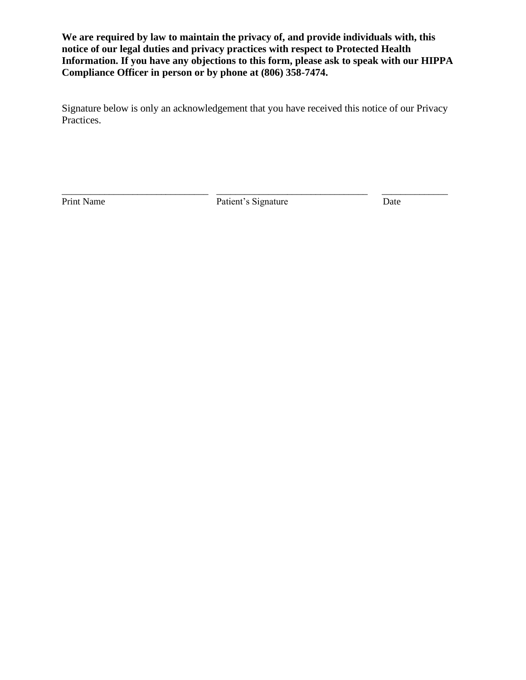**We are required by law to maintain the privacy of, and provide individuals with, this notice of our legal duties and privacy practices with respect to Protected Health Information. If you have any objections to this form, please ask to speak with our HIPPA Compliance Officer in person or by phone at (806) 358-7474.**

Signature below is only an acknowledgement that you have received this notice of our Privacy Practices.

\_\_\_\_\_\_\_\_\_\_\_\_\_\_\_\_\_\_\_\_\_\_\_\_\_\_\_\_\_\_\_ \_\_\_\_\_\_\_\_\_\_\_\_\_\_\_\_\_\_\_\_\_\_\_\_\_\_\_\_\_\_\_\_ \_\_\_\_\_\_\_\_\_\_\_\_\_\_ Print Name Patient's Signature Date